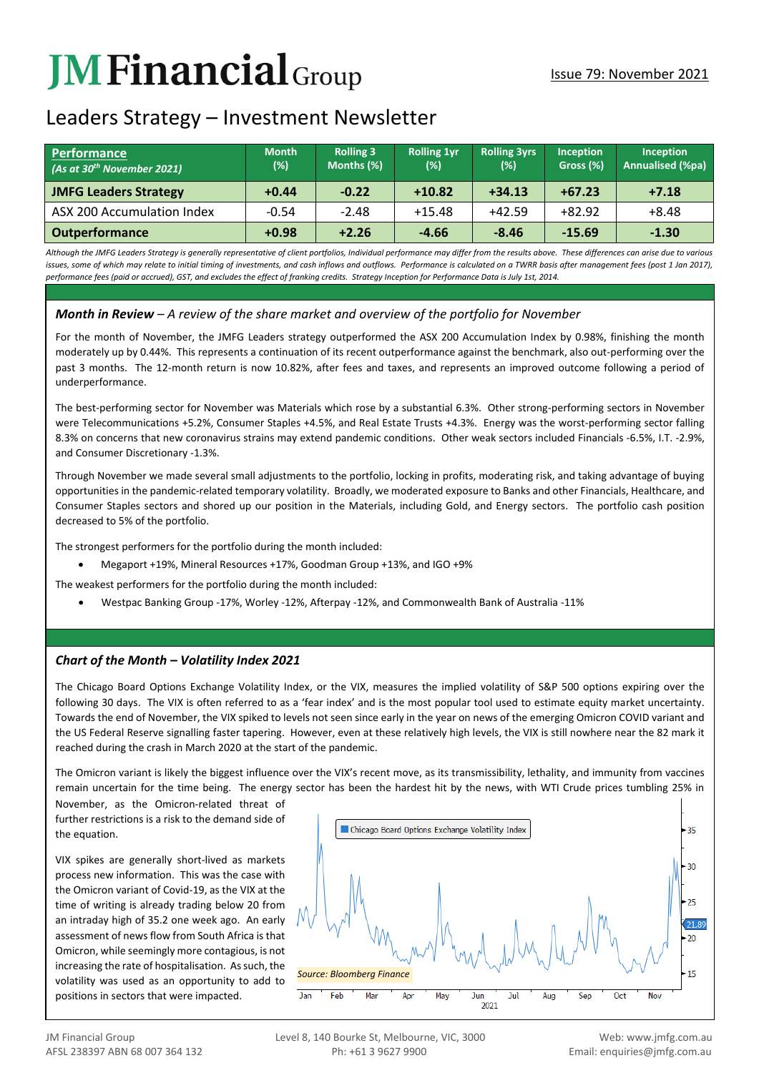# **JM Financial** Group

## Leaders Strategy – Investment Newsletter

| <b>Performance</b><br>(As at 30 <sup>th</sup> November 2021) | <b>Month</b><br>(%) | <b>Rolling 3</b><br>Months (%) | <b>Rolling 1yr</b><br>(%) | <b>Rolling 3yrs</b><br>(%) | <b>Inception</b><br>Gross (%) | <b>Inception</b><br><b>Annualised (%pa)</b> |
|--------------------------------------------------------------|---------------------|--------------------------------|---------------------------|----------------------------|-------------------------------|---------------------------------------------|
| <b>JMFG Leaders Strategy</b>                                 | $+0.44$             | $-0.22$                        | $+10.82$                  | $+34.13$                   | $+67.23$                      | $+7.18$                                     |
| ASX 200 Accumulation Index                                   | $-0.54$             | $-2.48$                        | $+15.48$                  | $+42.59$                   | $+82.92$                      | $+8.48$                                     |
| <b>Outperformance</b>                                        | $+0.98$             | $+2.26$                        | $-4.66$                   | $-8.46$                    | $-15.69$                      | $-1.30$                                     |

*Although the JMFG Leaders Strategy is generally representative of client portfolios, Individual performance may differ from the results above. These differences can arise due to various*  issues, some of which may relate to initial timing of investments, and cash inflows and outflows. Performance is calculated on a TWRR basis after management fees (post 1 Jan 2017), *performance fees (paid or accrued), GST, and excludes the effect of franking credits. Strategy Inception for Performance Data is July 1st, 2014.*

### *Month in Review – A review of the share market and overview of the portfolio for November*

For the month of November, the JMFG Leaders strategy outperformed the ASX 200 Accumulation Index by 0.98%, finishing the month moderately up by 0.44%. This represents a continuation of its recent outperformance against the benchmark, also out-performing over the past 3 months. The 12-month return is now 10.82%, after fees and taxes, and represents an improved outcome following a period of underperformance.

The best-performing sector for November was Materials which rose by a substantial 6.3%. Other strong-performing sectors in November were Telecommunications +5.2%, Consumer Staples +4.5%, and Real Estate Trusts +4.3%. Energy was the worst-performing sector falling 8.3% on concerns that new coronavirus strains may extend pandemic conditions. Other weak sectors included Financials -6.5%, I.T. -2.9%, and Consumer Discretionary -1.3%.

Through November we made several small adjustments to the portfolio, locking in profits, moderating risk, and taking advantage of buying opportunities in the pandemic-related temporary volatility. Broadly, we moderated exposure to Banks and other Financials, Healthcare, and Consumer Staples sectors and shored up our position in the Materials, including Gold, and Energy sectors. The portfolio cash position decreased to 5% of the portfolio.

The strongest performers for the portfolio during the month included:

• Megaport +19%, Mineral Resources +17%, Goodman Group +13%, and IGO +9%

The weakest performers for the portfolio during the month included:

• Westpac Banking Group -17%, Worley -12%, Afterpay -12%, and Commonwealth Bank of Australia -11%

#### *Chart of the Month – Volatility Index 2021*

The Chicago Board Options Exchange Volatility Index, or the VIX, measures the implied volatility of S&P 500 options expiring over the following 30 days. The VIX is often referred to as a 'fear index' and is the most popular tool used to estimate equity market uncertainty. Towards the end of November, the VIX spiked to levels not seen since early in the year on news of the emerging Omicron COVID variant and the US Federal Reserve signalling faster tapering. However, even at these relatively high levels, the VIX is still nowhere near the 82 mark it reached during the crash in March 2020 at the start of the pandemic.

The Omicron variant is likely the biggest influence over the VIX's recent move, as its transmissibility, lethality, and immunity from vaccines remain uncertain for the time being. The energy sector has been the hardest hit by the news, with WTI Crude prices tumbling 25% in

November November, as the Omicron-related threat of further restrictions is a risk to the demand side of the equation.

VIX spikes are generally short-lived as markets process new information. This was the case with the Omicron variant of Covid-19, as the VIX at the time of writing is already trading below 20 from an intraday high of 35.2 one week ago. An early assessment of news flow from South Africa is that Omicron, while seemingly more contagious, is not increasing the rate of hospitalisation. As such, the volatility was used as an opportunity to add to positions in sectors that were impacted.